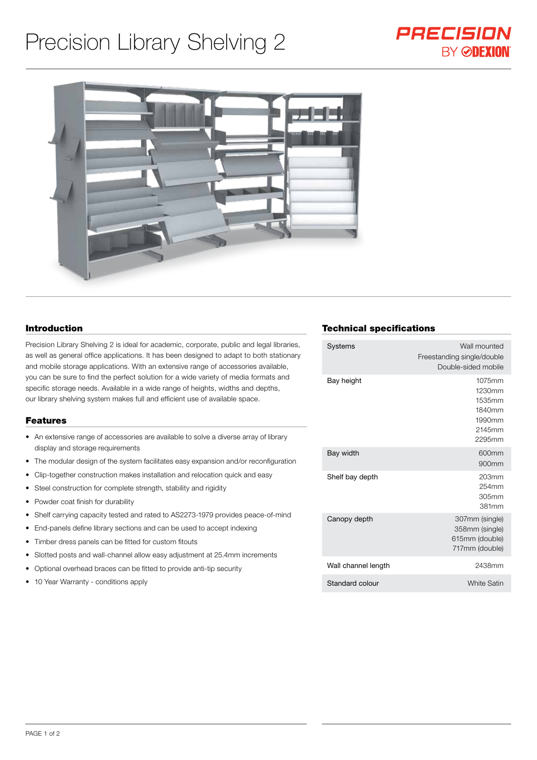# Precision Library Shelving 2





#### Introduction

Precision Library Shelving 2 is ideal for academic, corporate, public and legal libraries, as well as general office applications. It has been designed to adapt to both stationary and mobile storage applications. With an extensive range of accessories available, you can be sure to find the perfect solution for a wide variety of media formats and specific storage needs. Available in a wide range of heights, widths and depths, our library shelving system makes full and efficient use of available space.

#### Features

- An extensive range of accessories are available to solve a diverse array of library display and storage requirements
- The modular design of the system facilitates easy expansion and/or reconfiguration
- Clip-together construction makes installation and relocation quick and easy
- Steel construction for complete strength, stability and rigidity
- Powder coat finish for durability
- Shelf carrying capacity tested and rated to AS2273-1979 provides peace-of-mind
- End-panels define library sections and can be used to accept indexing
- Timber dress panels can be fitted for custom fitouts
- Slotted posts and wall-channel allow easy adjustment at 25.4mm increments
- Optional overhead braces can be fitted to provide anti-tip security
- 10 Year Warranty conditions apply

## Technical specifications

| Wall mounted<br>Freestanding single/double<br>Double-sided mobile    |
|----------------------------------------------------------------------|
| 1075mm<br>1230mm<br>1535mm<br>1840mm<br>1990mm<br>2145mm<br>2295mm   |
| 600mm<br>900mm                                                       |
| 203 <sub>mm</sub><br>254mm<br>305mm<br>381mm                         |
| 307mm (single)<br>358mm (single)<br>615mm (double)<br>717mm (double) |
| 2438mm                                                               |
| <b>White Satin</b>                                                   |
|                                                                      |